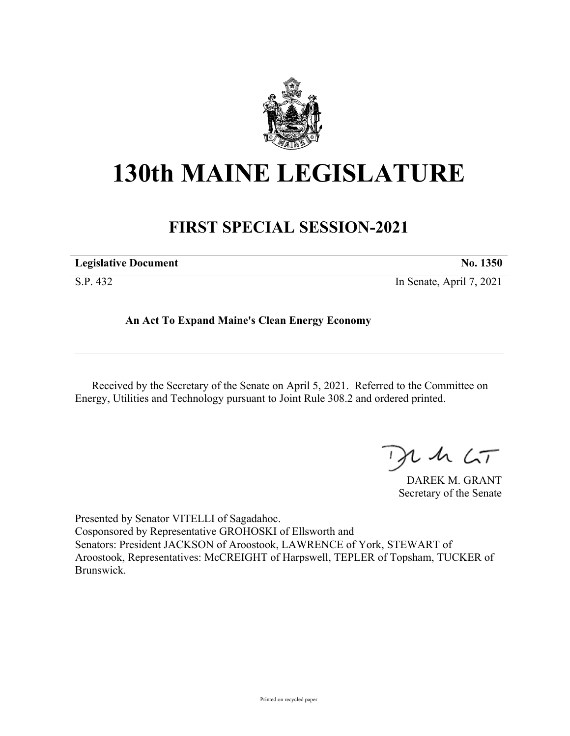

## **130th MAINE LEGISLATURE**

## **FIRST SPECIAL SESSION-2021**

| <b>Legislative Document</b> | No. 1350                 |
|-----------------------------|--------------------------|
| S.P. 432                    | In Senate, April 7, 2021 |

**An Act To Expand Maine's Clean Energy Economy**

Received by the Secretary of the Senate on April 5, 2021. Referred to the Committee on Energy, Utilities and Technology pursuant to Joint Rule 308.2 and ordered printed.

 $125$ 

DAREK M. GRANT Secretary of the Senate

Presented by Senator VITELLI of Sagadahoc. Cosponsored by Representative GROHOSKI of Ellsworth and Senators: President JACKSON of Aroostook, LAWRENCE of York, STEWART of Aroostook, Representatives: McCREIGHT of Harpswell, TEPLER of Topsham, TUCKER of Brunswick.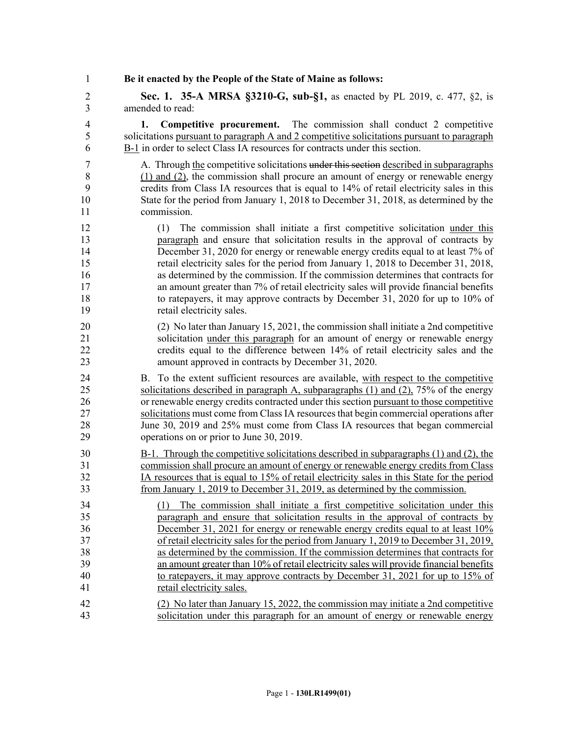1 **Be it enacted by the People of the State of Maine as follows:** 2 **Sec. 1. 35-A MRSA §3210-G, sub-§1,** as enacted by PL 2019, c. 477, §2, is 3 amended to read: 4 **1. Competitive procurement.** The commission shall conduct 2 competitive 5 solicitations pursuant to paragraph A and 2 competitive solicitations pursuant to paragraph 6 B-1 in order to select Class IA resources for contracts under this section. 7 A. Through the competitive solicitations under this section described in subparagraphs 8 (1) and (2), the commission shall procure an amount of energy or renewable energy 9 credits from Class IA resources that is equal to 14% of retail electricity sales in this 10 State for the period from January 1, 2018 to December 31, 2018, as determined by the 11 commission. 12 (1) The commission shall initiate a first competitive solicitation under this 13 paragraph and ensure that solicitation results in the approval of contracts by 14 December 31, 2020 for energy or renewable energy credits equal to at least 7% of 15 retail electricity sales for the period from January 1, 2018 to December 31, 2018, 16 as determined by the commission. If the commission determines that contracts for 17 an amount greater than 7% of retail electricity sales will provide financial benefits 18 to ratepayers, it may approve contracts by December 31, 2020 for up to 10% of 19 retail electricity sales. 20 (2) No later than January 15, 2021, the commission shall initiate a 2nd competitive 21 solicitation under this paragraph for an amount of energy or renewable energy 22 credits equal to the difference between 14% of retail electricity sales and the 23 amount approved in contracts by December 31, 2020. 24 B. To the extent sufficient resources are available, with respect to the competitive 25 solicitations described in paragraph A, subparagraphs (1) and (2), 75% of the energy 26 or renewable energy credits contracted under this section pursuant to those competitive 27 solicitations must come from Class IA resources that begin commercial operations after 28 June 30, 2019 and 25% must come from Class IA resources that began commercial 29 operations on or prior to June 30, 2019. 30 B-1. Through the competitive solicitations described in subparagraphs (1) and (2), the 31 commission shall procure an amount of energy or renewable energy credits from Class 32 IA resources that is equal to 15% of retail electricity sales in this State for the period 33 from January 1, 2019 to December 31, 2019, as determined by the commission. 34 (1) The commission shall initiate a first competitive solicitation under this 35 paragraph and ensure that solicitation results in the approval of contracts by 36 December 31, 2021 for energy or renewable energy credits equal to at least 10% 37 of retail electricity sales for the period from January 1, 2019 to December 31, 2019, 38 as determined by the commission. If the commission determines that contracts for 39 an amount greater than 10% of retail electricity sales will provide financial benefits 40 to ratepayers, it may approve contracts by December 31, 2021 for up to 15% of 41 retail electricity sales. 42 (2) No later than January 15, 2022, the commission may initiate a 2nd competitive 43 solicitation under this paragraph for an amount of energy or renewable energy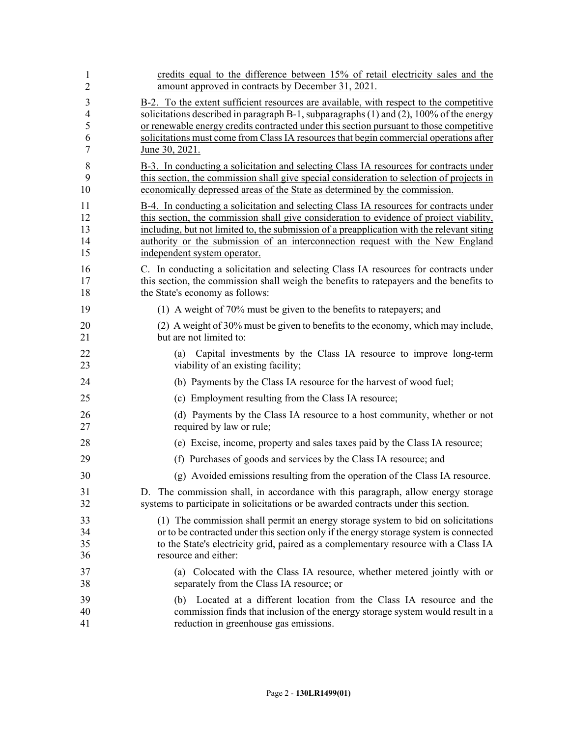| 1              | credits equal to the difference between 15% of retail electricity sales and the                                                                                                                       |
|----------------|-------------------------------------------------------------------------------------------------------------------------------------------------------------------------------------------------------|
| $\overline{2}$ | amount approved in contracts by December 31, 2021.                                                                                                                                                    |
| 3              | B-2. To the extent sufficient resources are available, with respect to the competitive                                                                                                                |
| 4              | solicitations described in paragraph B-1, subparagraphs $(1)$ and $(2)$ , $100\%$ of the energy                                                                                                       |
| 5              | or renewable energy credits contracted under this section pursuant to those competitive                                                                                                               |
| 6              | solicitations must come from Class IA resources that begin commercial operations after                                                                                                                |
| 7              | June 30, 2021.                                                                                                                                                                                        |
| 8              | B-3. In conducting a solicitation and selecting Class IA resources for contracts under                                                                                                                |
| 9              | this section, the commission shall give special consideration to selection of projects in                                                                                                             |
| 10             | economically depressed areas of the State as determined by the commission.                                                                                                                            |
| 11             | B-4. In conducting a solicitation and selecting Class IA resources for contracts under                                                                                                                |
| 12             | this section, the commission shall give consideration to evidence of project viability,                                                                                                               |
| 13             | including, but not limited to, the submission of a preapplication with the relevant siting                                                                                                            |
| 14             | authority or the submission of an interconnection request with the New England                                                                                                                        |
| 15             | independent system operator.                                                                                                                                                                          |
| 16             | C. In conducting a solicitation and selecting Class IA resources for contracts under                                                                                                                  |
| 17             | this section, the commission shall weigh the benefits to rate payers and the benefits to                                                                                                              |
| 18             | the State's economy as follows:                                                                                                                                                                       |
| 19             | (1) A weight of 70% must be given to the benefits to ratepayers; and                                                                                                                                  |
| 20             | (2) A weight of 30% must be given to benefits to the economy, which may include,                                                                                                                      |
| 21             | but are not limited to:                                                                                                                                                                               |
| 22<br>23       | Capital investments by the Class IA resource to improve long-term<br>(a)<br>viability of an existing facility;                                                                                        |
| 24             | (b) Payments by the Class IA resource for the harvest of wood fuel;                                                                                                                                   |
| 25             | (c) Employment resulting from the Class IA resource;                                                                                                                                                  |
| 26             | (d) Payments by the Class IA resource to a host community, whether or not                                                                                                                             |
| 27             | required by law or rule;                                                                                                                                                                              |
| 28             | (e) Excise, income, property and sales taxes paid by the Class IA resource;                                                                                                                           |
| 29             | (f) Purchases of goods and services by the Class IA resource; and                                                                                                                                     |
| 30             | (g) Avoided emissions resulting from the operation of the Class IA resource.                                                                                                                          |
| 31             | D. The commission shall, in accordance with this paragraph, allow energy storage                                                                                                                      |
| 32             | systems to participate in solicitations or be awarded contracts under this section.                                                                                                                   |
| 33             | (1) The commission shall permit an energy storage system to bid on solicitations                                                                                                                      |
| 34             | or to be contracted under this section only if the energy storage system is connected                                                                                                                 |
| 35             | to the State's electricity grid, paired as a complementary resource with a Class IA                                                                                                                   |
| 36             | resource and either:                                                                                                                                                                                  |
| 37             | (a) Colocated with the Class IA resource, whether metered jointly with or                                                                                                                             |
| 38             | separately from the Class IA resource; or                                                                                                                                                             |
| 39<br>40<br>41 | Located at a different location from the Class IA resource and the<br>(b)<br>commission finds that inclusion of the energy storage system would result in a<br>reduction in greenhouse gas emissions. |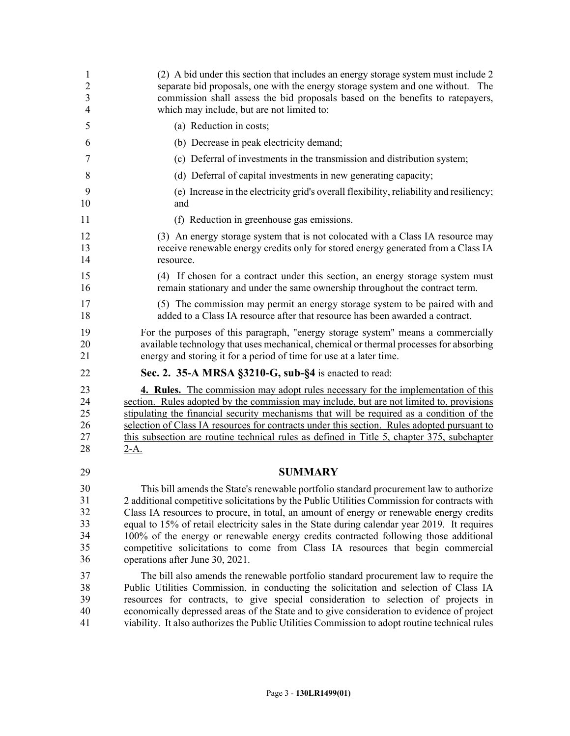| $\mathbf{1}$   | (2) A bid under this section that includes an energy storage system must include 2             |
|----------------|------------------------------------------------------------------------------------------------|
| $\overline{2}$ | separate bid proposals, one with the energy storage system and one without. The                |
| 3              | commission shall assess the bid proposals based on the benefits to ratepayers,                 |
| 4              | which may include, but are not limited to:                                                     |
| 5              | (a) Reduction in costs;                                                                        |
| 6              | (b) Decrease in peak electricity demand;                                                       |
| 7              | (c) Deferral of investments in the transmission and distribution system;                       |
| 8              | (d) Deferral of capital investments in new generating capacity;                                |
| 9              | (e) Increase in the electricity grid's overall flexibility, reliability and resiliency;        |
| 10             | and                                                                                            |
| 11             | (f) Reduction in greenhouse gas emissions.                                                     |
| 12             | (3) An energy storage system that is not colocated with a Class IA resource may                |
| 13             | receive renewable energy credits only for stored energy generated from a Class IA              |
| 14             | resource.                                                                                      |
| 15             | (4) If chosen for a contract under this section, an energy storage system must                 |
| 16             | remain stationary and under the same ownership throughout the contract term.                   |
| 17             | (5) The commission may permit an energy storage system to be paired with and                   |
| 18             | added to a Class IA resource after that resource has been awarded a contract.                  |
| 19             | For the purposes of this paragraph, "energy storage system" means a commercially               |
| 20             | available technology that uses mechanical, chemical or thermal processes for absorbing         |
| 21             | energy and storing it for a period of time for use at a later time.                            |
| 22             | Sec. 2. 35-A MRSA §3210-G, sub-§4 is enacted to read:                                          |
| 23             | <b>4. Rules.</b> The commission may adopt rules necessary for the implementation of this       |
| 24             | section. Rules adopted by the commission may include, but are not limited to, provisions       |
| 25             | stipulating the financial security mechanisms that will be required as a condition of the      |
| 26             | selection of Class IA resources for contracts under this section. Rules adopted pursuant to    |
| 27             | this subsection are routine technical rules as defined in Title 5, chapter 375, subchapter     |
| 28             | $2-A.$                                                                                         |
| 29             | <b>SUMMARY</b>                                                                                 |
| 30             | This bill amends the State's renewable portfolio standard procurement law to authorize         |
| 31             | 2 additional competitive solicitations by the Public Utilities Commission for contracts with   |
| 32             | Class IA resources to procure, in total, an amount of energy or renewable energy credits       |
| 33             | equal to 15% of retail electricity sales in the State during calendar year 2019. It requires   |
| 34             | 100% of the energy or renewable energy credits contracted following those additional           |
| 35             | competitive solicitations to come from Class IA resources that begin commercial                |
| 36             | operations after June 30, 2021.                                                                |
| 37             | The bill also amends the renewable portfolio standard procurement law to require the           |
| 38             | Public Utilities Commission, in conducting the solicitation and selection of Class IA          |
| 39             | resources for contracts, to give special consideration to selection of projects in             |
| 40             | economically depressed areas of the State and to give consideration to evidence of project     |
| 41             | viability. It also authorizes the Public Utilities Commission to adopt routine technical rules |